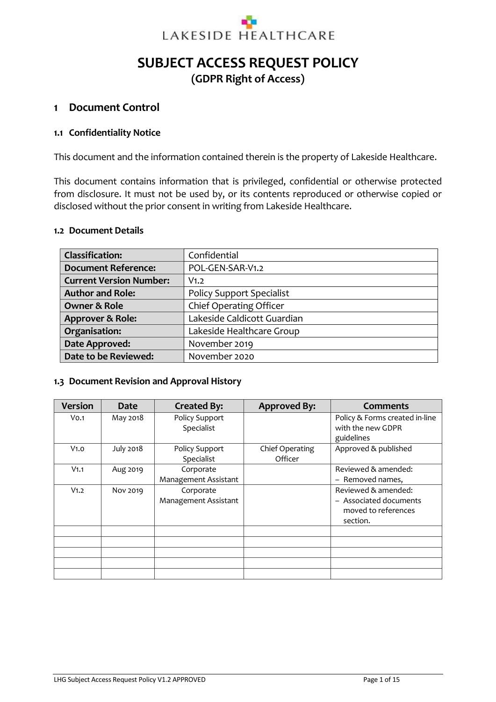

# **SUBJECT ACCESS REQUEST POLICY (GDPR Right of Access)**

### **1 Document Control**

#### **1.1 Confidentiality Notice**

This document and the information contained therein is the property of Lakeside Healthcare.

This document contains information that is privileged, confidential or otherwise protected from disclosure. It must not be used by, or its contents reproduced or otherwise copied or disclosed without the prior consent in writing from Lakeside Healthcare.

#### **1.2 Document Details**

| <b>Classification:</b>         | Confidential                     |
|--------------------------------|----------------------------------|
| <b>Document Reference:</b>     | POL-GEN-SAR-V1.2                 |
| <b>Current Version Number:</b> | V <sub>1.2</sub>                 |
| <b>Author and Role:</b>        | <b>Policy Support Specialist</b> |
| <b>Owner &amp; Role</b>        | Chief Operating Officer          |
| Approver & Role:               | Lakeside Caldicott Guardian      |
| Organisation:                  | Lakeside Healthcare Group        |
| Date Approved:                 | November 2019                    |
| Date to be Reviewed:           | November 2020                    |

#### **1.3 Document Revision and Approval History**

| <b>Version</b>   | <b>Date</b>      | <b>Created By:</b>                | <b>Approved By:</b>        | <b>Comments</b>                                                                  |
|------------------|------------------|-----------------------------------|----------------------------|----------------------------------------------------------------------------------|
| V <sub>0.1</sub> | May 2018         | Policy Support<br>Specialist      |                            | Policy & Forms created in-line<br>with the new GDPR<br>guidelines                |
| V <sub>1.0</sub> | <b>July 2018</b> | Policy Support<br>Specialist      | Chief Operating<br>Officer | Approved & published                                                             |
| V <sub>1.1</sub> | Aug 2019         | Corporate<br>Management Assistant |                            | Reviewed & amended:<br>- Removed names,                                          |
| V <sub>1.2</sub> | Nov 2019         | Corporate<br>Management Assistant |                            | Reviewed & amended:<br>- Associated documents<br>moved to references<br>section. |
|                  |                  |                                   |                            |                                                                                  |
|                  |                  |                                   |                            |                                                                                  |
|                  |                  |                                   |                            |                                                                                  |
|                  |                  |                                   |                            |                                                                                  |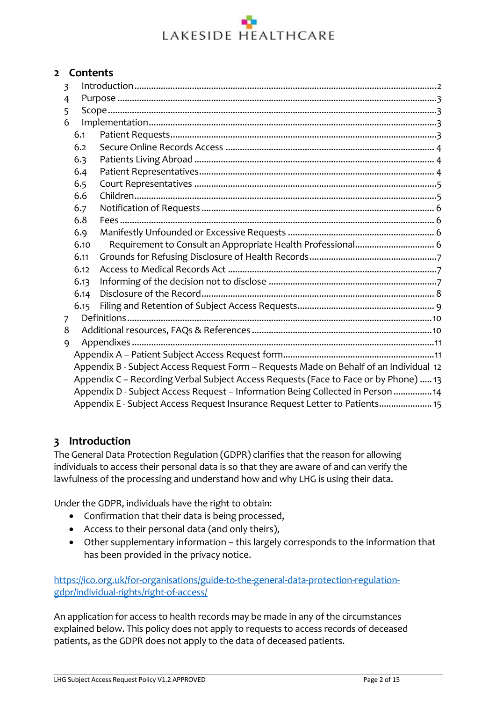### <span id="page-1-1"></span>**2 Contents**

| $\overline{3}$                                                                       |      |                                                                                        |  |  |
|--------------------------------------------------------------------------------------|------|----------------------------------------------------------------------------------------|--|--|
| 4                                                                                    |      |                                                                                        |  |  |
| 5                                                                                    |      |                                                                                        |  |  |
| 6                                                                                    |      |                                                                                        |  |  |
|                                                                                      | 6.1  |                                                                                        |  |  |
|                                                                                      | 6.2  |                                                                                        |  |  |
|                                                                                      | 6.3  |                                                                                        |  |  |
|                                                                                      | 6.4  |                                                                                        |  |  |
|                                                                                      | 6.5  |                                                                                        |  |  |
|                                                                                      | 6.6  |                                                                                        |  |  |
|                                                                                      | 6.7  |                                                                                        |  |  |
|                                                                                      | 6.8  |                                                                                        |  |  |
|                                                                                      | 6.9  |                                                                                        |  |  |
|                                                                                      | 6.10 |                                                                                        |  |  |
|                                                                                      | 6.11 |                                                                                        |  |  |
|                                                                                      | 6.12 |                                                                                        |  |  |
|                                                                                      | 6.13 |                                                                                        |  |  |
|                                                                                      | 6.14 |                                                                                        |  |  |
|                                                                                      | 6.15 |                                                                                        |  |  |
| 7                                                                                    |      |                                                                                        |  |  |
| 8                                                                                    |      |                                                                                        |  |  |
| 9                                                                                    |      |                                                                                        |  |  |
|                                                                                      |      |                                                                                        |  |  |
|                                                                                      |      | Appendix B - Subject Access Request Form - Requests Made on Behalf of an Individual 12 |  |  |
| Appendix C - Recording Verbal Subject Access Requests (Face to Face or by Phone)  13 |      |                                                                                        |  |  |
| Appendix D - Subject Access Request - Information Being Collected in Person  14      |      |                                                                                        |  |  |
|                                                                                      |      | Appendix E - Subject Access Request Insurance Request Letter to Patients 15            |  |  |

## <span id="page-1-0"></span>**3 Introduction**

The General Data Protection Regulation (GDPR) clarifies that the reason for allowing individuals to access their personal data is so that they are aware of and can verify the lawfulness of the processing and understand how and why LHG is using their data.

Under the GDPR, individuals have the right to obtain:

- Confirmation that their data is being processed,
- Access to their personal data (and only theirs),
- Other supplementary information this largely corresponds to the information that has been provided in the privacy notice.

[https://ico.org.uk/for-organisations/guide-to-the-general-data-protection-regulation](https://ico.org.uk/for-organisations/guide-to-the-general-data-protection-regulation-gdpr/individual-rights/right-of-access/)[gdpr/individual-rights/right-of-access/](https://ico.org.uk/for-organisations/guide-to-the-general-data-protection-regulation-gdpr/individual-rights/right-of-access/)

An application for access to health records may be made in any of the circumstances explained below. This policy does not apply to requests to access records of deceased patients, as the GDPR does not apply to the data of deceased patients.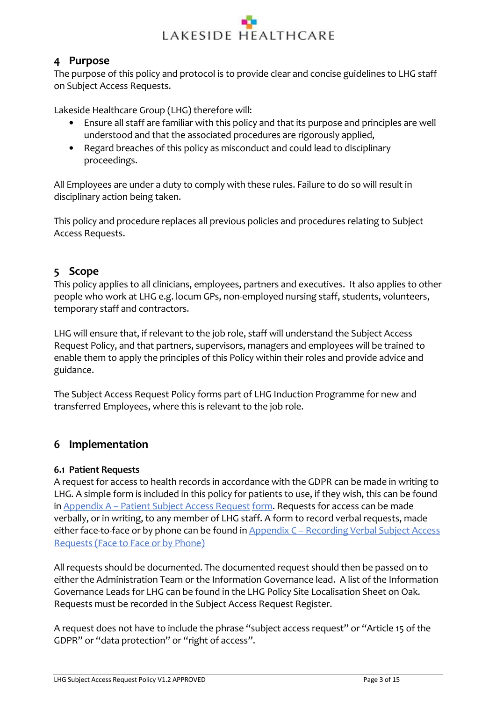

# **4 Purpose**

The purpose of this policy and protocol is to provide clear and concise guidelines to LHG staff on Subject Access Requests.

Lakeside Healthcare Group (LHG) therefore will:

- Ensure all staff are familiar with this policy and that its purpose and principles are well understood and that the associated procedures are rigorously applied,
- Regard breaches of this policy as misconduct and could lead to disciplinary proceedings.

All Employees are under a duty to comply with these rules. Failure to do so will result in disciplinary action being taken.

This policy and procedure replaces all previous policies and procedures relating to Subject Access Requests.

# <span id="page-2-0"></span>**5 Scope**

This policy applies to all clinicians, employees, partners and executives. It also applies to other people who work at LHG e.g. locum GPs, non-employed nursing staff, students, volunteers, temporary staff and contractors.

LHG will ensure that, if relevant to the job role, staff will understand the Subject Access Request Policy, and that partners, supervisors, managers and employees will be trained to enable them to apply the principles of this Policy within their roles and provide advice and guidance.

The Subject Access Request Policy forms part of LHG Induction Programme for new and transferred Employees, where this is relevant to the job role.

# <span id="page-2-1"></span>**6 Implementation**

### <span id="page-2-2"></span>**6.1 Patient Requests**

A request for access to health records in accordance with the GDPR can be made in writing to LHG. A simple form is included in this policy for patients to use, if they wish, this can be found in Appendix A – [Patient Subject Access Request](#page-10-1) form. Requests for access can be made verbally, or in writing, to any member of LHG staff. A form to record verbal requests, made either face-to-face or by phone can be found in Appendix C – Recording Verbal Subject Access [Requests \(Face to Face or by Phone\)](#page-12-0)

All requests should be documented. The documented request should then be passed on to either the Administration Team or the Information Governance lead. A list of the Information Governance Leads for LHG can be found in the LHG Policy Site Localisation Sheet on Oak. Requests must be recorded in the Subject Access Request Register.

A request does not have to include the phrase "subject access request" or "Article 15 of the GDPR" or "data protection" or "right of access".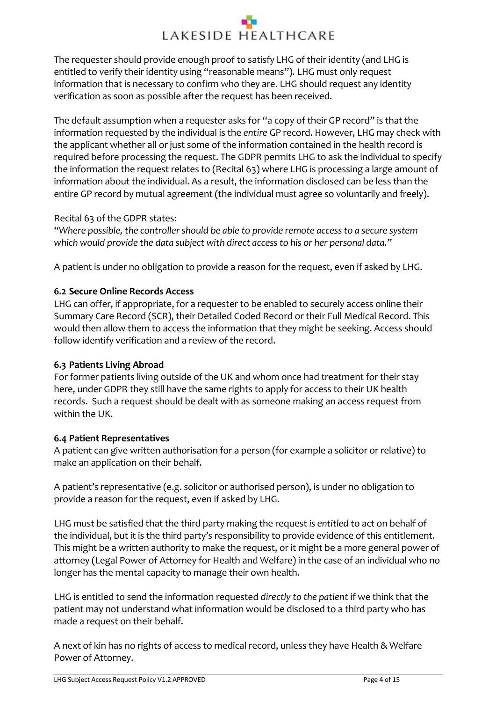The requester should provide enough proof to satisfy LHG of their identity (and LHG is entitled to verify their identity using "reasonable means"). LHG must only request information that is necessary to confirm who they are. LHG should request any identity verification as soon as possible after the request has been received.

The default assumption when a requester asks for "a copy of their GP record" is that the information requested by the individual is the *entire* GP record. However, LHG may check with the applicant whether all or just some of the information contained in the health record is required before processing the request. The GDPR permits LHG to ask the individual to specify the information the request relates to (Recital 63) where LHG is processing a large amount of information about the individual. As a result, the information disclosed can be less than the entire GP record by mutual agreement (the individual must agree so voluntarily and freely).

### Recital 63 of the GDPR states:

*"Where possible, the controller should be able to provide remote access to a secure system which would provide the data subject with direct access to his or her personal data."* 

A patient is under no obligation to provide a reason for the request, even if asked by LHG.

### <span id="page-3-0"></span>**6.2 Secure Online Records Access**

LHG can offer, if appropriate, for a requester to be enabled to securely access online their Summary Care Record (SCR), their Detailed Coded Record or their Full Medical Record. This would then allow them to access the information that they might be seeking. Access should follow identify verification and a review of the record.

### <span id="page-3-1"></span>**6.3 Patients Living Abroad**

For former patients living outside of the UK and whom once had treatment for their stay here, under GDPR they still have the same rights to apply for access to their UK health records. Such a request should be dealt with as someone making an access request from within the UK.

### <span id="page-3-2"></span>**6.4 Patient Representatives**

A patient can give written authorisation for a person (for example a solicitor or relative) to make an application on their behalf.

A patient's representative (e.g. solicitor or authorised person), is under no obligation to provide a reason for the request, even if asked by LHG.

LHG must be satisfied that the third party making the request *is entitled* to act on behalf of the individual, but it is the third party's responsibility to provide evidence of this entitlement. This might be a written authority to make the request, or it might be a more general power of attorney (Legal Power of Attorney for Health and Welfare) in the case of an individual who no longer has the mental capacity to manage their own health.

LHG is entitled to send the information requested *directly to the patient* if we think that the patient may not understand what information would be disclosed to a third party who has made a request on their behalf.

A next of kin has no rights of access to medical record, unless they have Health & Welfare Power of Attorney.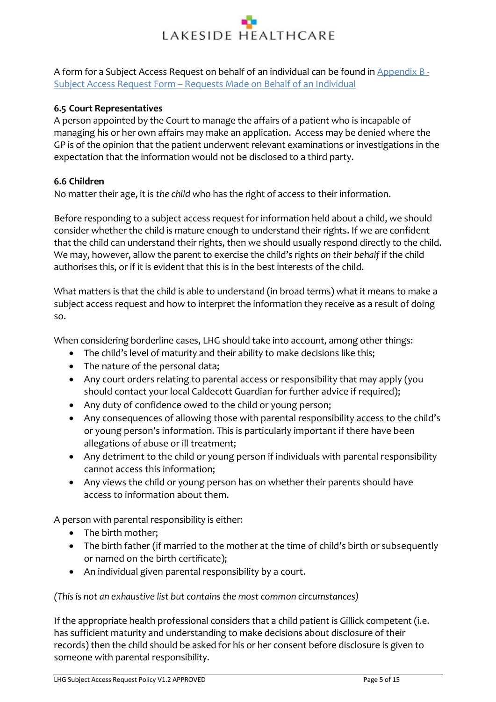A form for a Subject Access Request on behalf of an individual can be found i[n Appendix B](#page-11-0) - Subject Access Request Form – Requests [Made on Behalf of an Individual](#page-11-0)

### <span id="page-4-0"></span>**6.5 Court Representatives**

A person appointed by the Court to manage the affairs of a patient who is incapable of managing his or her own affairs may make an application. Access may be denied where the GP is of the opinion that the patient underwent relevant examinations or investigations in the expectation that the information would not be disclosed to a third party.

### <span id="page-4-1"></span>**6.6 Children**

No matter their age, it is *the child* who has the right of access to their information.

Before responding to a subject access request for information held about a child, we should consider whether the child is mature enough to understand their rights. If we are confident that the child can understand their rights, then we should usually respond directly to the child. We may, however, allow the parent to exercise the child's rights *on their behalf* if the child authorises this, or if it is evident that this is in the best interests of the child.

What matters is that the child is able to understand (in broad terms) what it means to make a subject access request and how to interpret the information they receive as a result of doing so.

When considering borderline cases, LHG should take into account, among other things:

- The child's level of maturity and their ability to make decisions like this;
- The nature of the personal data;
- Any court orders relating to parental access or responsibility that may apply (you should contact your local Caldecott Guardian for further advice if required);
- Any duty of confidence owed to the child or young person;
- Any consequences of allowing those with parental responsibility access to the child's or young person's information. This is particularly important if there have been allegations of abuse or ill treatment;
- Any detriment to the child or young person if individuals with parental responsibility cannot access this information;
- Any views the child or young person has on whether their parents should have access to information about them.

A person with parental responsibility is either:

- The birth mother;
- The birth father (if married to the mother at the time of child's birth or subsequently or named on the birth certificate);
- An individual given parental responsibility by a court.

*(This is not an exhaustive list but contains the most common circumstances)*

If the appropriate health professional considers that a child patient is Gillick competent (i.e. has sufficient maturity and understanding to make decisions about disclosure of their records) then the child should be asked for his or her consent before disclosure is given to someone with parental responsibility.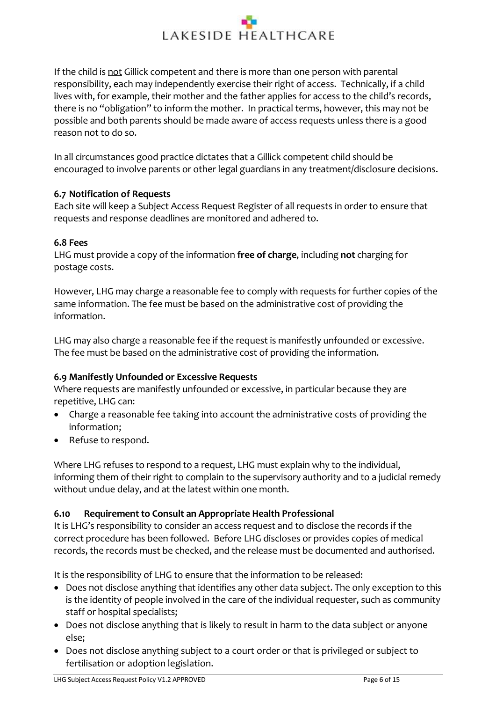If the child is not Gillick competent and there is more than one person with parental responsibility, each may independently exercise their right of access. Technically, if a child lives with, for example, their mother and the father applies for access to the child's records, there is no "obligation" to inform the mother. In practical terms, however, this may not be possible and both parents should be made aware of access requests unless there is a good reason not to do so.

In all circumstances good practice dictates that a Gillick competent child should be encouraged to involve parents or other legal guardians in any treatment/disclosure decisions.

### <span id="page-5-0"></span>**6.7 Notification of Requests**

Each site will keep a Subject Access Request Register of all requests in order to ensure that requests and response deadlines are monitored and adhered to.

### <span id="page-5-1"></span>**6.8 Fees**

LHG must provide a copy of the information **free of charge**, including **not** charging for postage costs.

However, LHG may charge a reasonable fee to comply with requests for further copies of the same information. The fee must be based on the administrative cost of providing the information.

LHG may also charge a reasonable fee if the request is manifestly unfounded or excessive. The fee must be based on the administrative cost of providing the information.

### <span id="page-5-2"></span>**6.9 Manifestly Unfounded or Excessive Requests**

Where requests are manifestly unfounded or excessive, in particular because they are repetitive, LHG can:

- Charge a reasonable fee taking into account the administrative costs of providing the information;
- Refuse to respond.

Where LHG refuses to respond to a request, LHG must explain why to the individual, informing them of their right to complain to the supervisory authority and to a judicial remedy without undue delay, and at the latest within one month.

### <span id="page-5-3"></span>**6.10 Requirement to Consult an Appropriate Health Professional**

It is LHG's responsibility to consider an access request and to disclose the records if the correct procedure has been followed. Before LHG discloses or provides copies of medical records, the records must be checked, and the release must be documented and authorised.

It is the responsibility of LHG to ensure that the information to be released:

- Does not disclose anything that identifies any other data subject. The only exception to this is the identity of people involved in the care of the individual requester, such as community staff or hospital specialists;
- Does not disclose anything that is likely to result in harm to the data subject or anyone else;
- Does not disclose anything subject to a court order or that is privileged or subject to fertilisation or adoption legislation.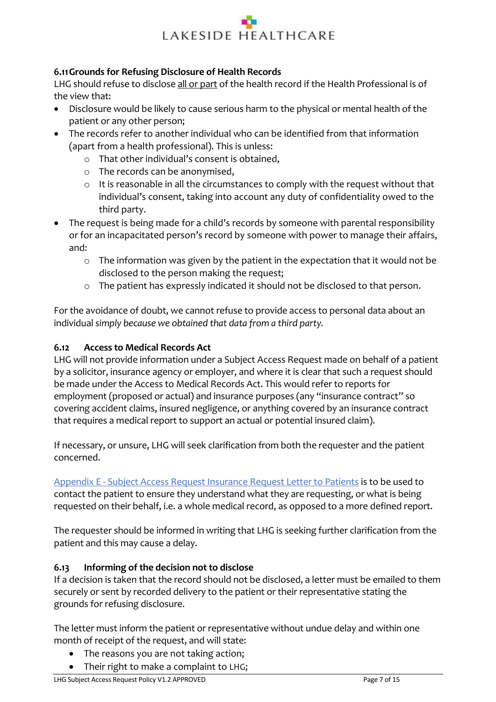### <span id="page-6-0"></span>**6.11Grounds for Refusing Disclosure of Health Records**

LHG should refuse to disclose all or part of the health record if the Health Professional is of the view that:

- Disclosure would be likely to cause serious harm to the physical or mental health of the patient or any other person;
- The records refer to another individual who can be identified from that information (apart from a health professional). This is unless:
	- o That other individual's consent is obtained,
	- o The records can be anonymised,
	- o It is reasonable in all the circumstances to comply with the request without that individual's consent, taking into account any duty of confidentiality owed to the third party.
- The request is being made for a child's records by someone with parental responsibility or for an incapacitated person's record by someone with power to manage their affairs, and:
	- o The information was given by the patient in the expectation that it would not be disclosed to the person making the request;
	- o The patient has expressly indicated it should not be disclosed to that person.

For the avoidance of doubt, we cannot refuse to provide access to personal data about an individual *simply because we obtained that data from a third party.* 

### <span id="page-6-1"></span>**6.12 Access to Medical Records Act**

LHG will not provide information under a Subject Access Request made on behalf of a patient by a solicitor, insurance agency or employer, and where it is clear that such a request should be made under the Access to Medical Records Act. This would refer to reports for employment (proposed or actual) and insurance purposes (any "insurance contract" so covering accident claims, insured negligence, or anything covered by an insurance contract that requires a medical report to support an actual or potential insured claim).

If necessary, or unsure, LHG will seek clarification from both the requester and the patient concerned.

Appendix E - [Subject Access Request Insurance Request Letter to Patients](#page-14-0) is to be used to contact the patient to ensure they understand what they are requesting, or what is being requested on their behalf, i.e. a whole medical record, as opposed to a more defined report.

The requester should be informed in writing that LHG is seeking further clarification from the patient and this may cause a delay.

### <span id="page-6-2"></span>**6.13 Informing of the decision not to disclose**

If a decision is taken that the record should not be disclosed, a letter must be emailed to them securely or sent by recorded delivery to the patient or their representative stating the grounds for refusing disclosure.

The letter must inform the patient or representative without undue delay and within one month of receipt of the request, and will state:

- The reasons you are not taking action;
- Their right to make a complaint to LHG;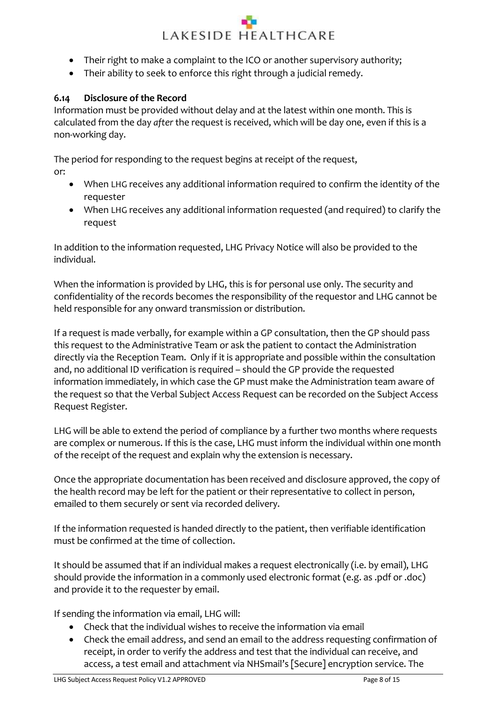- Their right to make a complaint to the ICO or another supervisory authority;
- Their ability to seek to enforce this right through a judicial remedy.

### <span id="page-7-0"></span>**6.14 Disclosure of the Record**

Information must be provided without delay and at the latest within one month. This is calculated from the day *after* the request is received, which will be day one, even if this is a non-working day.

The period for responding to the request begins at receipt of the request, or:

- When LHG receives any additional information required to confirm the identity of the requester
- When LHG receives any additional information requested (and required) to clarify the request

In addition to the information requested, LHG Privacy Notice will also be provided to the individual.

When the information is provided by LHG, this is for personal use only. The security and confidentiality of the records becomes the responsibility of the requestor and LHG cannot be held responsible for any onward transmission or distribution.

If a request is made verbally, for example within a GP consultation, then the GP should pass this request to the Administrative Team or ask the patient to contact the Administration directly via the Reception Team. Only if it is appropriate and possible within the consultation and, no additional ID verification is required – should the GP provide the requested information immediately, in which case the GP must make the Administration team aware of the request so that the Verbal Subject Access Request can be recorded on the Subject Access Request Register.

LHG will be able to extend the period of compliance by a further two months where requests are complex or numerous. If this is the case, LHG must inform the individual within one month of the receipt of the request and explain why the extension is necessary.

Once the appropriate documentation has been received and disclosure approved, the copy of the health record may be left for the patient or their representative to collect in person, emailed to them securely or sent via recorded delivery.

If the information requested is handed directly to the patient, then verifiable identification must be confirmed at the time of collection.

It should be assumed that if an individual makes a request electronically (i.e. by email), LHG should provide the information in a commonly used electronic format (e.g. as .pdf or .doc) and provide it to the requester by email.

If sending the information via email, LHG will:

- Check that the individual wishes to receive the information via email
- Check the email address, and send an email to the address requesting confirmation of receipt, in order to verify the address and test that the individual can receive, and access, a test email and attachment via NHSmail's [Secure] encryption service. The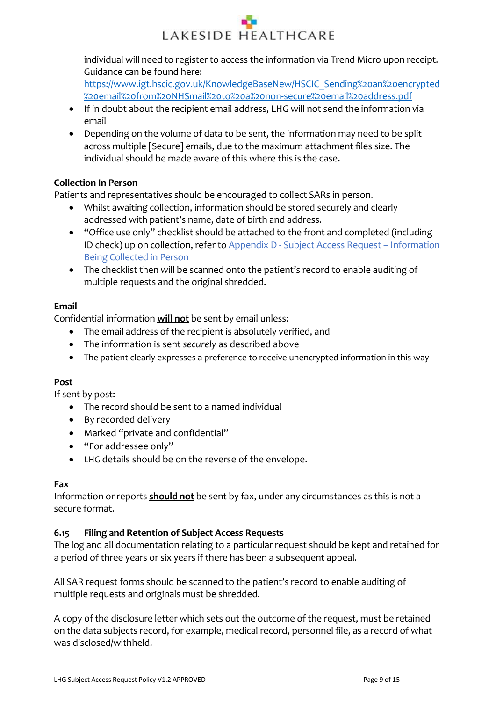<span id="page-8-1"></span>individual will need to register to access the information via Trend Micro upon receipt. Guidance can be found here:

[https://www.igt.hscic.gov.uk/KnowledgeBaseNew/HSCIC\\_Sending%20an%20encrypted](https://www.igt.hscic.gov.uk/KnowledgeBaseNew/HSCIC_Sending%20an%20encrypted%20email%20from%20NHSmail%20to%20a%20non-secure%20email%20address.pdf) [%20email%20from%20NHSmail%20to%20a%20non-secure%20email%20address.pdf](https://www.igt.hscic.gov.uk/KnowledgeBaseNew/HSCIC_Sending%20an%20encrypted%20email%20from%20NHSmail%20to%20a%20non-secure%20email%20address.pdf)

- If in doubt about the recipient email address, LHG will not send the information via email
- Depending on the volume of data to be sent, the information may need to be split across multiple [Secure] emails, due to the maximum attachment files size. The individual should be made aware of this where this is the case**.**

## **Collection In Person**

Patients and representatives should be encouraged to collect SARs in person.

- Whilst awaiting collection, information should be stored securely and clearly addressed with patient's name, date of birth and address.
- "Office use only" checklist should be attached to the front and completed (including ID check) up on collection, refer to Appendix D - [Subject Access Request](#page-13-0) – Information [Being Collected](#page-13-0) in Person
- The checklist then will be scanned onto the patient's record to enable auditing of multiple requests and the original shredded.

### **Email**

Confidential information **will not** be sent by email unless:

- The email address of the recipient is absolutely verified, and
- The information is sent *securely* as described above
- The patient clearly expresses a preference to receive unencrypted information in this way

## **Post**

If sent by post:

- The record should be sent to a named individual
- By recorded delivery
- Marked "private and confidential"
- "For addressee only"
- LHG details should be on the reverse of the envelope.

### **Fax**

Information or reports **should not** be sent by fax, under any circumstances as this is not a secure format.

## <span id="page-8-0"></span>**6.15 Filing and Retention of Subject Access Requests**

The log and all documentation relating to a particular request should be kept and retained for a period of three years or six years if there has been a subsequent appeal.

All SAR request forms should be scanned to the patient's record to enable auditing of multiple requests and originals must be shredded.

A copy of the disclosure letter which sets out the outcome of the request, must be retained on the data subjects record, for example, medical record, personnel file, as a record of what was disclosed/withheld.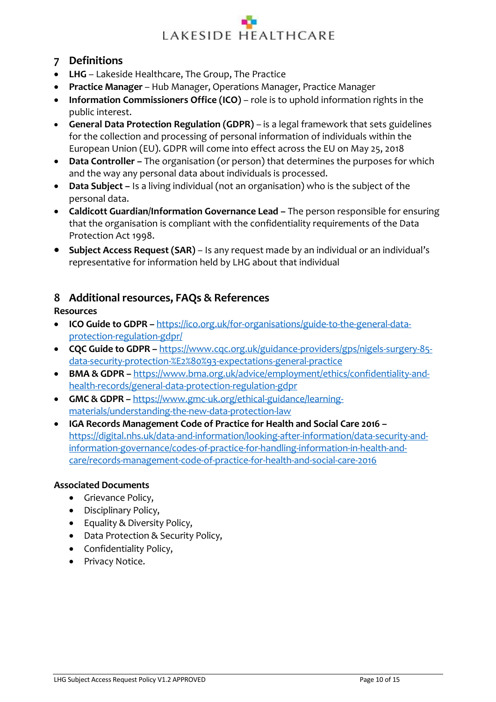## **7 Definitions**

- **LHG** Lakeside Healthcare, The Group, The Practice
- **Practice Manager**  Hub Manager, Operations Manager, Practice Manager
- **Information Commissioners Office (ICO)** role is to uphold information rights in the public interest.
- **General Data Protection Regulation (GDPR)** is a legal framework that sets guidelines for the collection and processing of personal information of individuals within the European Union (EU). GDPR will come into effect across the EU on May 25, 2018
- **Data Controller –** The organisation (or person) that determines the purposes for which and the way any personal data about individuals is processed.
- **Data Subject –** Is a living individual (not an organisation) who is the subject of the personal data.
- **Caldicott Guardian/Information Governance Lead –** The person responsible for ensuring that the organisation is compliant with the confidentiality requirements of the Data Protection Act 1998.
- **Subject Access Request (SAR)** Is any request made by an individual or an individual's representative for information held by LHG about that individual

# <span id="page-9-0"></span>**8 Additional resources, FAQs & References**

### **Resources**

- **ICO Guide to GDPR –** [https://ico.org.uk/for-organisations/guide-to-the-general-data](https://ico.org.uk/for-organisations/guide-to-the-general-data-protection-regulation-gdpr/)[protection-regulation-gdpr/](https://ico.org.uk/for-organisations/guide-to-the-general-data-protection-regulation-gdpr/)
- **CQC Guide to GDPR –** [https://www.cqc.org.uk/guidance-providers/gps/nigels-surgery-85](https://www.cqc.org.uk/guidance-providers/gps/nigels-surgery-85-data-security-protection-%E2%80%93-expectations-general-practice) [data-security-protection-%E2%80%93-expectations-general-practice](https://www.cqc.org.uk/guidance-providers/gps/nigels-surgery-85-data-security-protection-%E2%80%93-expectations-general-practice)
- **BMA & GDPR –** [https://www.bma.org.uk/advice/employment/ethics/confidentiality-and](https://www.bma.org.uk/advice/employment/ethics/confidentiality-and-health-records/general-data-protection-regulation-gdpr)[health-records/general-data-protection-regulation-gdpr](https://www.bma.org.uk/advice/employment/ethics/confidentiality-and-health-records/general-data-protection-regulation-gdpr)
- **GMC & GDPR –** [https://www.gmc-uk.org/ethical-guidance/learning](https://www.gmc-uk.org/ethical-guidance/learning-materials/understanding-the-new-data-protection-law)[materials/understanding-the-new-data-protection-law](https://www.gmc-uk.org/ethical-guidance/learning-materials/understanding-the-new-data-protection-law)
- **IGA Records Management Code of Practice for Health and Social Care 2016 –** [https://digital.nhs.uk/data-and-information/looking-after-information/data-security-and](https://digital.nhs.uk/data-and-information/looking-after-information/data-security-and-information-governance/codes-of-practice-for-handling-information-in-health-and-care/records-management-code-of-practice-for-health-and-social-care-2016)[information-governance/codes-of-practice-for-handling-information-in-health-and](https://digital.nhs.uk/data-and-information/looking-after-information/data-security-and-information-governance/codes-of-practice-for-handling-information-in-health-and-care/records-management-code-of-practice-for-health-and-social-care-2016)[care/records-management-code-of-practice-for-health-and-social-care-2016](https://digital.nhs.uk/data-and-information/looking-after-information/data-security-and-information-governance/codes-of-practice-for-handling-information-in-health-and-care/records-management-code-of-practice-for-health-and-social-care-2016)

### **Associated Documents**

- Grievance Policy,
- Disciplinary Policy,
- Equality & Diversity Policy,
- Data Protection & Security Policy,
- Confidentiality Policy,
- Privacy Notice.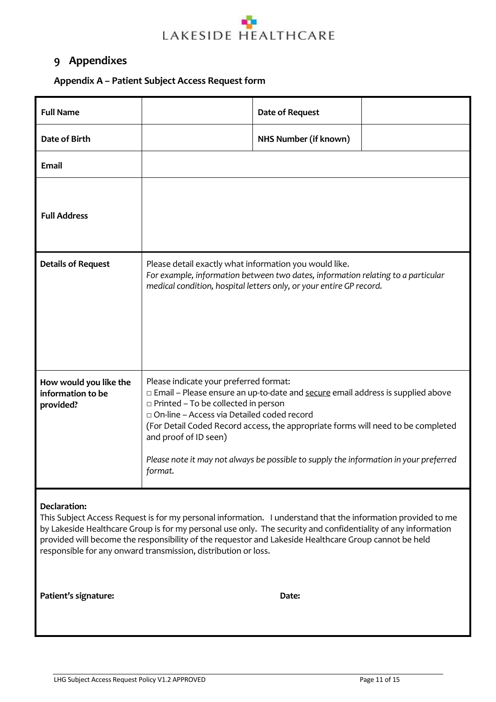### <span id="page-10-0"></span>**9 Appendixes**

## <span id="page-10-1"></span>**Appendix A – Patient Subject Access Request form**

| <b>Full Name</b>                                         | <b>Date of Request</b>                                                                                                                                                                                                                                                                                                                                                                                                                    |  |  |
|----------------------------------------------------------|-------------------------------------------------------------------------------------------------------------------------------------------------------------------------------------------------------------------------------------------------------------------------------------------------------------------------------------------------------------------------------------------------------------------------------------------|--|--|
| Date of Birth                                            | NHS Number (if known)                                                                                                                                                                                                                                                                                                                                                                                                                     |  |  |
| <b>Email</b>                                             |                                                                                                                                                                                                                                                                                                                                                                                                                                           |  |  |
| <b>Full Address</b>                                      |                                                                                                                                                                                                                                                                                                                                                                                                                                           |  |  |
| <b>Details of Request</b>                                | Please detail exactly what information you would like.<br>For example, information between two dates, information relating to a particular<br>medical condition, hospital letters only, or your entire GP record.                                                                                                                                                                                                                         |  |  |
| How would you like the<br>information to be<br>provided? | Please indicate your preferred format:<br>□ Email – Please ensure an up-to-date and secure email address is supplied above<br>$\Box$ Printed - To be collected in person<br>□ On-line - Access via Detailed coded record<br>(For Detail Coded Record access, the appropriate forms will need to be completed<br>and proof of ID seen)<br>Please note it may not always be possible to supply the information in your preferred<br>format. |  |  |

### **Declaration:**

This Subject Access Request is for my personal information. I understand that the information provided to me by Lakeside Healthcare Group is for my personal use only. The security and confidentiality of any information provided will become the responsibility of the requestor and Lakeside Healthcare Group cannot be held responsible for any onward transmission, distribution or loss.

**Patient's signature: Date:**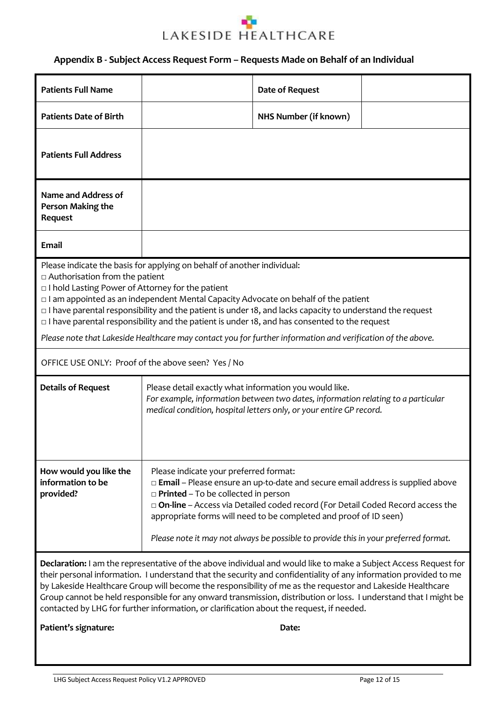

### <span id="page-11-0"></span>**Appendix B - Subject Access Request Form – Requests Made on Behalf of an Individual**

| <b>Patients Full Name</b>                                                                                                                                                                                                                                                                                                                                                                                                                                                                                                                                                                                                                                        |                                                                                                                                                                                                                                                                                                                                                                                                                               | <b>Date of Request</b> |  |
|------------------------------------------------------------------------------------------------------------------------------------------------------------------------------------------------------------------------------------------------------------------------------------------------------------------------------------------------------------------------------------------------------------------------------------------------------------------------------------------------------------------------------------------------------------------------------------------------------------------------------------------------------------------|-------------------------------------------------------------------------------------------------------------------------------------------------------------------------------------------------------------------------------------------------------------------------------------------------------------------------------------------------------------------------------------------------------------------------------|------------------------|--|
|                                                                                                                                                                                                                                                                                                                                                                                                                                                                                                                                                                                                                                                                  |                                                                                                                                                                                                                                                                                                                                                                                                                               |                        |  |
| <b>Patients Date of Birth</b>                                                                                                                                                                                                                                                                                                                                                                                                                                                                                                                                                                                                                                    |                                                                                                                                                                                                                                                                                                                                                                                                                               | NHS Number (if known)  |  |
| <b>Patients Full Address</b>                                                                                                                                                                                                                                                                                                                                                                                                                                                                                                                                                                                                                                     |                                                                                                                                                                                                                                                                                                                                                                                                                               |                        |  |
| <b>Name and Address of</b><br>Person Making the<br>Request                                                                                                                                                                                                                                                                                                                                                                                                                                                                                                                                                                                                       |                                                                                                                                                                                                                                                                                                                                                                                                                               |                        |  |
| <b>Email</b>                                                                                                                                                                                                                                                                                                                                                                                                                                                                                                                                                                                                                                                     |                                                                                                                                                                                                                                                                                                                                                                                                                               |                        |  |
| Please indicate the basis for applying on behalf of another individual:<br>$\Box$ Authorisation from the patient<br>$\Box$ I hold Lasting Power of Attorney for the patient<br>I am appointed as an independent Mental Capacity Advocate on behalf of the patient<br>$\Box$ I have parental responsibility and the patient is under 18, and lacks capacity to understand the request<br>$\Box$ I have parental responsibility and the patient is under 18, and has consented to the request<br>Please note that Lakeside Healthcare may contact you for further information and verification of the above.<br>OFFICE USE ONLY: Proof of the above seen? Yes / No |                                                                                                                                                                                                                                                                                                                                                                                                                               |                        |  |
|                                                                                                                                                                                                                                                                                                                                                                                                                                                                                                                                                                                                                                                                  |                                                                                                                                                                                                                                                                                                                                                                                                                               |                        |  |
| <b>Details of Request</b>                                                                                                                                                                                                                                                                                                                                                                                                                                                                                                                                                                                                                                        | Please detail exactly what information you would like.<br>For example, information between two dates, information relating to a particular<br>medical condition, hospital letters only, or your entire GP record.                                                                                                                                                                                                             |                        |  |
| How would you like the<br>information to be<br>provided?                                                                                                                                                                                                                                                                                                                                                                                                                                                                                                                                                                                                         | Please indicate your preferred format:<br>□ Email - Please ensure an up-to-date and secure email address is supplied above<br>$\Box$ Printed - To be collected in person<br>$\Box$ On-line – Access via Detailed coded record (For Detail Coded Record access the<br>appropriate forms will need to be completed and proof of ID seen)<br>Please note it may not always be possible to provide this in your preferred format. |                        |  |
| Declaration: I am the representative of the above individual and would like to make a Subject Access Request for<br>their personal information. I understand that the security and confidentiality of any information provided to me<br>by Lakeside Healthcare Group will become the responsibility of me as the requestor and Lakeside Healthcare<br>Group cannot be held responsible for any onward transmission, distribution or loss. I understand that I might be<br>contacted by LHG for further information, or clarification about the request, if needed.                                                                                               |                                                                                                                                                                                                                                                                                                                                                                                                                               |                        |  |
| Patient's signature:                                                                                                                                                                                                                                                                                                                                                                                                                                                                                                                                                                                                                                             |                                                                                                                                                                                                                                                                                                                                                                                                                               | Date:                  |  |
|                                                                                                                                                                                                                                                                                                                                                                                                                                                                                                                                                                                                                                                                  |                                                                                                                                                                                                                                                                                                                                                                                                                               |                        |  |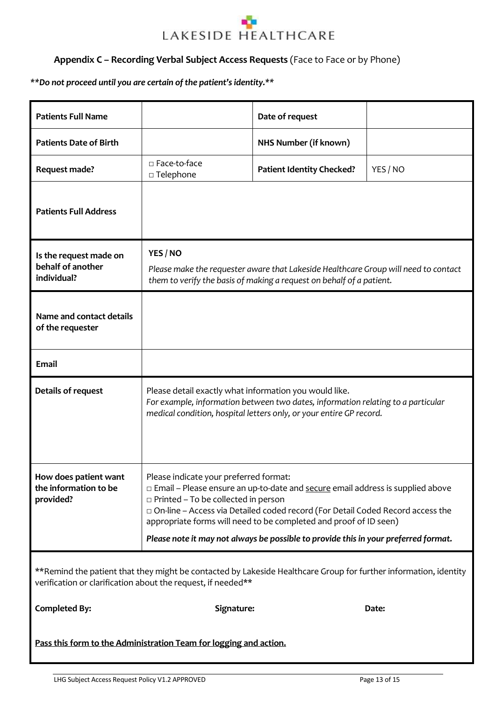### <span id="page-12-0"></span>**Appendix C – Recording Verbal Subject Access Requests** (Face to Face or by Phone)

### *\*\*Do not proceed until you are certain of the patient's identity.\*\**

| <b>Patients Full Name</b>                                   |                                                                                                                                                                                                                   | Date of request                                                                                                                                                                                                                                                                                                                  |          |
|-------------------------------------------------------------|-------------------------------------------------------------------------------------------------------------------------------------------------------------------------------------------------------------------|----------------------------------------------------------------------------------------------------------------------------------------------------------------------------------------------------------------------------------------------------------------------------------------------------------------------------------|----------|
| <b>Patients Date of Birth</b>                               |                                                                                                                                                                                                                   | NHS Number (if known)                                                                                                                                                                                                                                                                                                            |          |
| Request made?                                               | □ Face-to-face<br>$\square$ Telephone                                                                                                                                                                             | <b>Patient Identity Checked?</b>                                                                                                                                                                                                                                                                                                 | YES / NO |
| <b>Patients Full Address</b>                                |                                                                                                                                                                                                                   |                                                                                                                                                                                                                                                                                                                                  |          |
| Is the request made on<br>behalf of another<br>individual?  | YES / NO<br>Please make the requester aware that Lakeside Healthcare Group will need to contact<br>them to verify the basis of making a request on behalf of a patient.                                           |                                                                                                                                                                                                                                                                                                                                  |          |
| Name and contact details<br>of the requester                |                                                                                                                                                                                                                   |                                                                                                                                                                                                                                                                                                                                  |          |
| <b>Email</b>                                                |                                                                                                                                                                                                                   |                                                                                                                                                                                                                                                                                                                                  |          |
| Details of request                                          | Please detail exactly what information you would like.<br>For example, information between two dates, information relating to a particular<br>medical condition, hospital letters only, or your entire GP record. |                                                                                                                                                                                                                                                                                                                                  |          |
|                                                             |                                                                                                                                                                                                                   |                                                                                                                                                                                                                                                                                                                                  |          |
| How does patient want<br>the information to be<br>provided? | Please indicate your preferred format:<br>$\Box$ Printed – To be collected in person                                                                                                                              | □ Email – Please ensure an up-to-date and secure email address is supplied above<br>□ On-line - Access via Detailed coded record (For Detail Coded Record access the<br>appropriate forms will need to be completed and proof of ID seen)<br>Please note it may not always be possible to provide this in your preferred format. |          |
|                                                             | verification or clarification about the request, if needed**                                                                                                                                                      | **Remind the patient that they might be contacted by Lakeside Healthcare Group for further information, identity                                                                                                                                                                                                                 |          |
| <b>Completed By:</b>                                        | Signature:                                                                                                                                                                                                        |                                                                                                                                                                                                                                                                                                                                  | Date:    |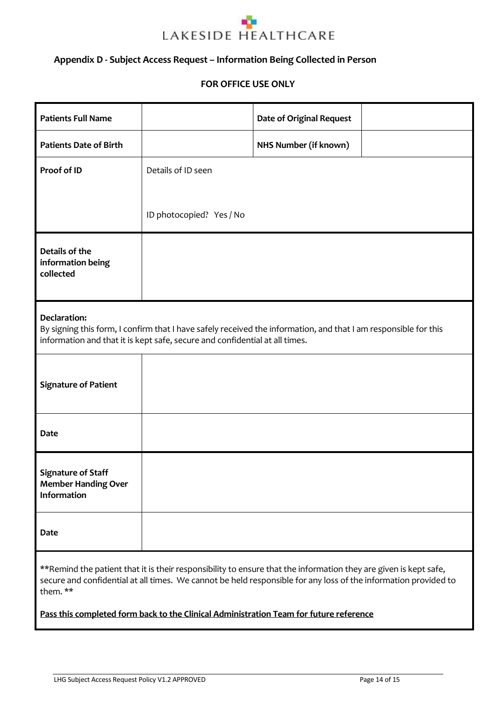

### <span id="page-13-0"></span>**Appendix D - Subject Access Request – Information Being Collected in Person**

#### **FOR OFFICE USE ONLY**

| <b>Patients Full Name</b>                                                                                                                                                                                                                       |                          | <b>Date of Original Request</b> |  |
|-------------------------------------------------------------------------------------------------------------------------------------------------------------------------------------------------------------------------------------------------|--------------------------|---------------------------------|--|
| <b>Patients Date of Birth</b>                                                                                                                                                                                                                   |                          | NHS Number (if known)           |  |
| Proof of ID                                                                                                                                                                                                                                     | Details of ID seen       |                                 |  |
|                                                                                                                                                                                                                                                 | ID photocopied? Yes / No |                                 |  |
| Details of the<br>information being<br>collected                                                                                                                                                                                                |                          |                                 |  |
| Declaration:<br>By signing this form, I confirm that I have safely received the information, and that I am responsible for this<br>information and that it is kept safe, secure and confidential at all times.                                  |                          |                                 |  |
| <b>Signature of Patient</b>                                                                                                                                                                                                                     |                          |                                 |  |
| <b>Date</b>                                                                                                                                                                                                                                     |                          |                                 |  |
| <b>Signature of Staff</b><br><b>Member Handing Over</b><br><b>Information</b>                                                                                                                                                                   |                          |                                 |  |
| Date                                                                                                                                                                                                                                            |                          |                                 |  |
| **Remind the patient that it is their responsibility to ensure that the information they are given is kept safe,<br>secure and confidential at all times. We cannot be held responsible for any loss of the information provided to<br>them. ** |                          |                                 |  |

**Pass this completed form back to the Clinical Administration Team for future reference**